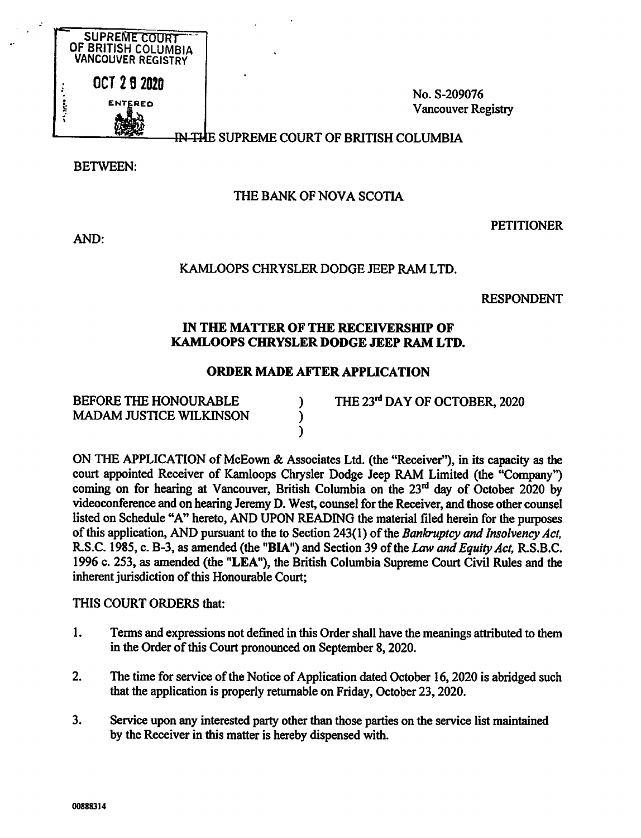

No. S-209076 Vancouver Registry

#### SUPREME COURT OF BRITISH COLUMBIA

BETWEEN:

# THE BANK OF NOVA SCOTIA

AND:

# **PETITIONER**

# KAMLOOPS CHRYSLER DODGE JEEP RAM LTD.

RESPONDENT

#### IN THE MATTER OF THE RECEIVERSHIP OF KAMLOOPS CHRYSLER DODGE JEEP RAM LTD.

# ORDER MADE AFTER APPLICATION

 $\lambda$  $\mathcal{E}$  $\lambda$ 

BEFORE THE HONOURABLE MADAM JUSTICE WILKINSON THE 23<sup>rd</sup> DAY OF OCTOBER, 2020

ON THE APPLICATION of McEown & Associates Ltd. (the "Receiver"), in its capacity as the court appointed Receiver of Kamloops Chrysler Dodge Jeep RAM Limited (the "Company") coming on for hearing at Vancouver, British Columbia on the 23<sup>rd</sup> day of October 2020 by videoconference and on hearing Jeremy D. West, counsel for the Receiver, and those other counsel listed on Schedule "A" hereto, AND UPON READING the material filed herein for the purposes of this application, AND pursuant to the to Section 243(1) of the Bankruptcy and Insolvency Act, R.S.C. 1985, c. B-3, as amended (the "BIA") and Section 39 of the Law and Equity Act, R.S.B.C. 1996 c. 253, as amended (the "LEA"), the British Columbia Supreme Court Civil Rules and the inherent jurisdiction of this Honourable Court;

THIS COURT ORDERS that:

- 1. Terms and expressions not defined in this Order shall have the meanings attributed to them in the Order of this Court pronounced on September 8, 2020.
- 2. The time for service of the Notice of Application dated October 16, 2020 is abridged such that the application is properly returnable on Friday, October 23, 2020.
- 3. Service upon any interested party other than those parties on the service list maintained by the Receiver in this matter is hereby dispensed with.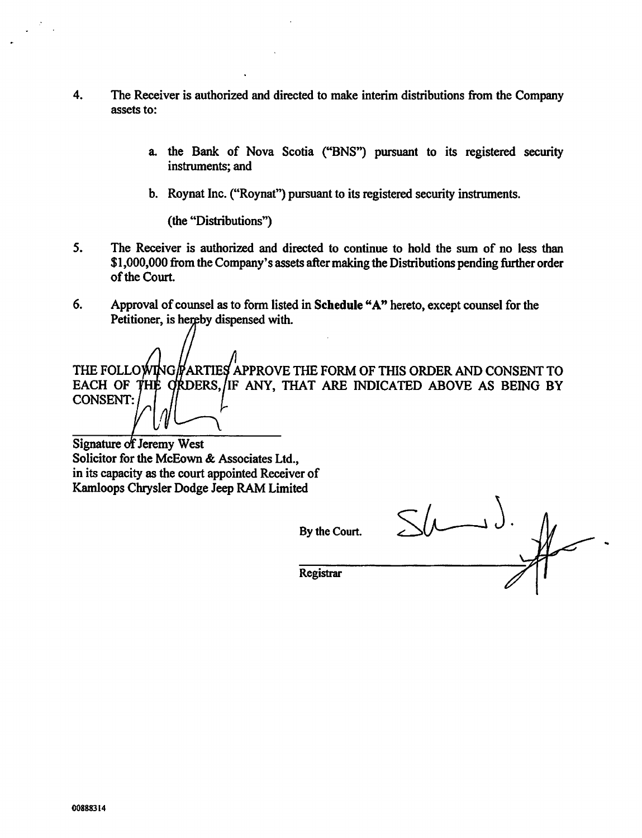- 4. The Receiver is authorized and directed to make interim distributions from the Company assets to:
	- a. the Bank of Nova Scotia ("BNS") pursuant to its registered security instruments; and
	- b. Roynat Inc. ("Roynat") pursuant to its registered security instruments.

(the "Distributions")

- 5. The Receiver is authorized and directed to continue to hold the sum of no less than \$1,000,000 from the Company's assets after making the Distributions pending further order of the Court.
- 6. Approval of counsel as to form listed in Schedule "A" hereto, except counsel for the Petitioner, is hereby dispensed with.

THE FOLLOWING/PARTIES APPROVE THE FORM OF THIS ORDER AND CONSENT TO EACH OF THE ORDERS, IF ANY, THAT ARE INDICATED ABOVE AS BEING BY CONSENT:

Signature of Jeremy West Solicitor for the McEown & Associates Ltd., in its capacity as the court appointed Receiver of Kamloops Chrysler Dodge Jeep RAM Limited

By the Court.

Registrar

 $\sqrt{\mathcal{L}}$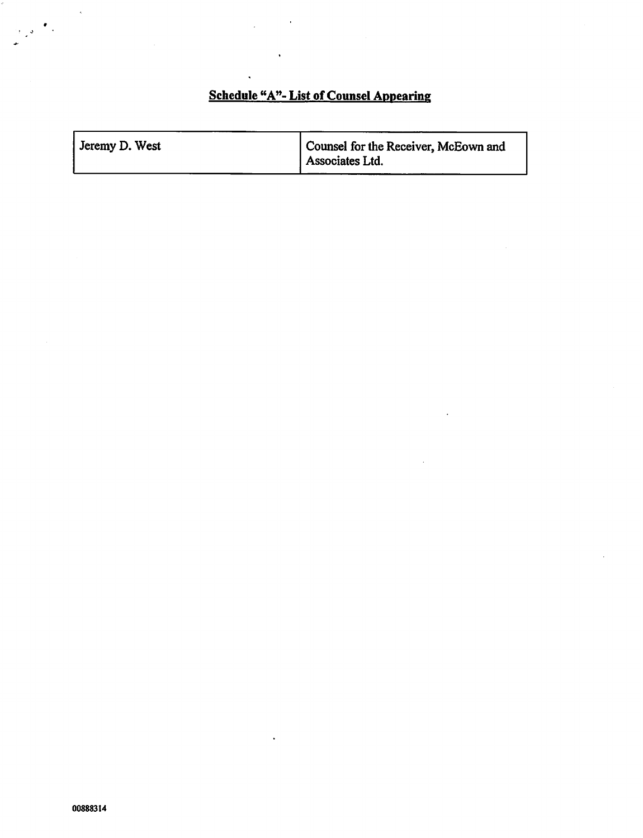# Schedule "A"- List of Counsel Appearing

| Jeremy D. West | Counsel for the Receiver, McEown and<br>Associates Ltd. |
|----------------|---------------------------------------------------------|
|                |                                                         |

 $\ddot{\phantom{0}}$ 

 $\bar{\mathbf{v}}$ 

 $\bullet$  .

 $\frac{1}{2}$  ,  $\frac{1}{2}$